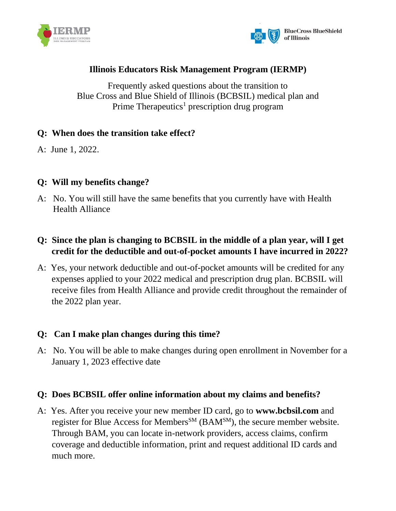



# **Illinois Educators Risk Management Program (IERMP)**

Frequently asked questions about the transition to Blue Cross and Blue Shield of Illinois (BCBSIL) medical plan and Prime Therapeutics<sup>1</sup> prescription drug program

## **Q: When does the transition take effect?**

A: June 1, 2022.

## **Q: Will my benefits change?**

A: No. You will still have the same benefits that you currently have with Health Health Alliance

# **Q: Since the plan is changing to BCBSIL in the middle of a plan year, will I get credit for the deductible and out-of-pocket amounts I have incurred in 2022?**

A: Yes, your network deductible and out-of-pocket amounts will be credited for any expenses applied to your 2022 medical and prescription drug plan. BCBSIL will receive files from Health Alliance and provide credit throughout the remainder of the 2022 plan year.

#### **Q: Can I make plan changes during this time?**

A: No. You will be able to make changes during open enrollment in November for a January 1, 2023 effective date

#### **Q: Does BCBSIL offer online information about my claims and benefits?**

A: Yes. After you receive your new member ID card, go to **[www.bcbsil.com](http://www.bcbsil.com/)** and register for Blue Access for Members<sup>SM</sup> (BAM<sup>SM</sup>), the secure member website. Through BAM, you can locate in-network providers, access claims, confirm coverage and deductible information, print and request additional ID cards and much more.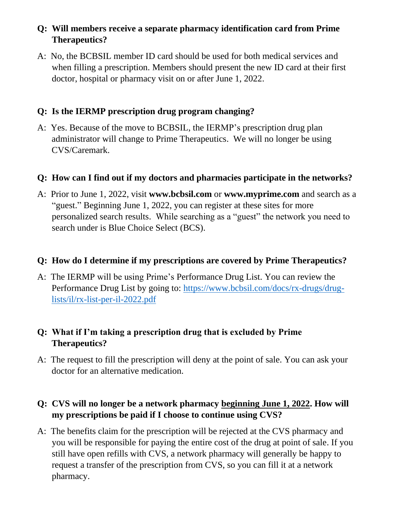# **Q: Will members receive a separate pharmacy identification card from Prime Therapeutics?**

A: No, the BCBSIL member ID card should be used for both medical services and when filling a prescription. Members should present the new ID card at their first doctor, hospital or pharmacy visit on or after June 1, 2022.

# **Q: Is the IERMP prescription drug program changing?**

A: Yes. Because of the move to BCBSIL, the IERMP's prescription drug plan administrator will change to Prime Therapeutics. We will no longer be using CVS/Caremark.

## **Q: How can I find out if my doctors and pharmacies participate in the networks?**

A: Prior to June 1, 2022, visit **[www.bcbsil.com](http://www.bcbsil.com/)** or **[www.myprime.com](http://www.myprime.com/)** and search as a "guest." Beginning June 1, 2022, you can register at these sites for more personalized search results. While searching as a "guest" the network you need to search under is Blue Choice Select (BCS).

#### **Q: How do I determine if my prescriptions are covered by Prime Therapeutics?**

A: The IERMP will be using Prime's Performance Drug List. You can review the Performance Drug List by going to: [https://www.bcbsil.com/docs/rx-drugs/drug](https://www.bcbsil.com/docs/rx-drugs/drug-lists/il/rx-list-per-il-2022.pdf)[lists/il/rx-list-per-il-2022.pdf](https://www.bcbsil.com/docs/rx-drugs/drug-lists/il/rx-list-per-il-2022.pdf)

# **Q: What if I'm taking a prescription drug that is excluded by Prime Therapeutics?**

A: The request to fill the prescription will deny at the point of sale. You can ask your doctor for an alternative medication.

# **Q: CVS will no longer be a network pharmacy beginning June 1, 2022. How will my prescriptions be paid if I choose to continue using CVS?**

A: The benefits claim for the prescription will be rejected at the CVS pharmacy and you will be responsible for paying the entire cost of the drug at point of sale. If you still have open refills with CVS, a network pharmacy will generally be happy to request a transfer of the prescription from CVS, so you can fill it at a network pharmacy.